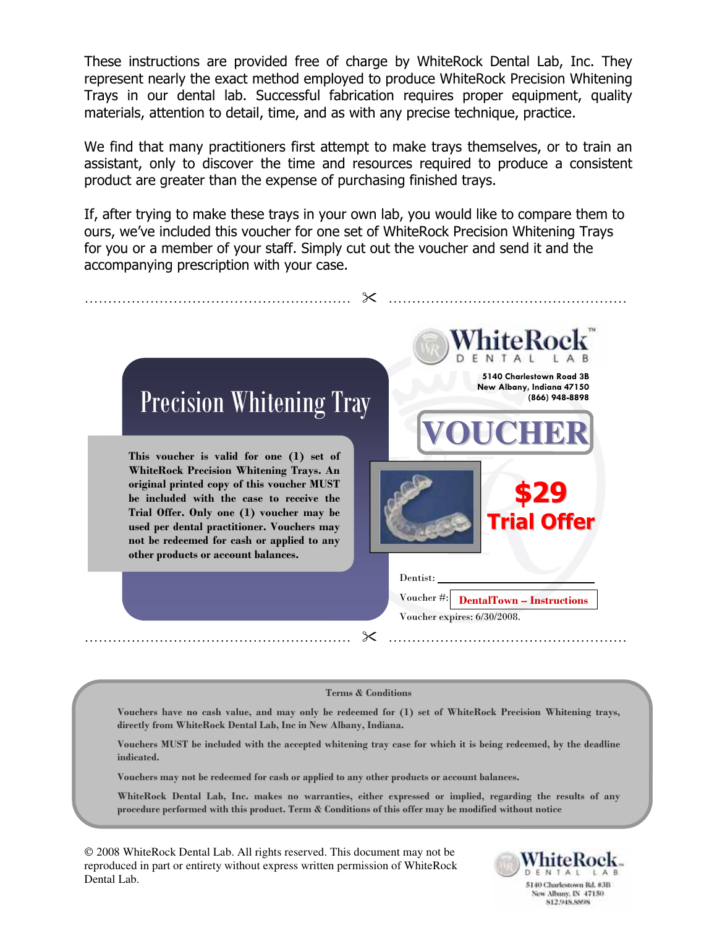These instructions are provided free of charge by WhiteRock Dental Lab, Inc. They represent nearly the exact method employed to produce WhiteRock Precision Whitening Trays in our dental lab. Successful fabrication requires proper equipment, quality materials, attention to detail, time, and as with any precise technique, practice.

We find that many practitioners first attempt to make trays themselves, or to train an assistant, only to discover the time and resources required to produce a consistent product are greater than the expense of purchasing finished trays.

If, after trying to make these trays in your own lab, you would like to compare them to ours, we've included this voucher for one set of WhiteRock Precision Whitening Trays for you or a member of your staff. Simply cut out the voucher and send it and the accompanying prescription with your case.



Terms & Conditions

Vouchers have no cash value, and may only be redeemed for (1) set of WhiteRock Precision Whitening travs, directly from WhiteRock Dental Lab, Inc in New Albany, Indiana.

Vouchers MUST be included with the accepted whitening tray case for which it is being redeemed, by the deadline indicated.

Vouchers may not be redeemed for cash or applied to any other products or account balances.

WhiteRock Dental Lab, Inc. makes no warranties, either expressed or implied, regarding the results of any procedure performed with this product. Term & Conditions of this offer may be modified without notice

© 2008 WhiteRock Dental Lab. All rights reserved. This document may not be reproduced in part or entirety without express written permission of WhiteRock Dental Lab.

WhiteRock 5140 Charlestown Rd. #3B New Albany, IN 47150 812.948.8898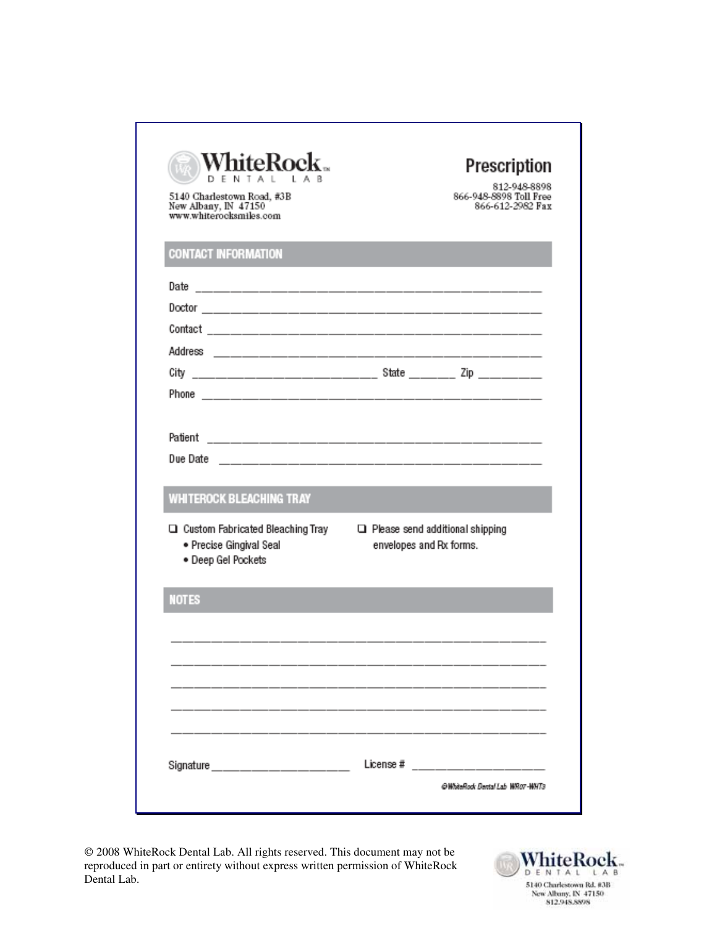| <b>WhiteRock</b> .<br>DENTAL LAB<br>5140 Charlestown Road, #3B<br>New Albany, IN 47150<br>www.whiterocksmiles.com |                                                              | Prescription<br>812-948-8898<br>866-948-8898 Toll Free<br>866-612-2982 Fax |
|-------------------------------------------------------------------------------------------------------------------|--------------------------------------------------------------|----------------------------------------------------------------------------|
| <b>CONTACT INFORMATION</b>                                                                                        |                                                              |                                                                            |
|                                                                                                                   |                                                              |                                                                            |
|                                                                                                                   |                                                              |                                                                            |
|                                                                                                                   |                                                              |                                                                            |
|                                                                                                                   |                                                              |                                                                            |
|                                                                                                                   |                                                              |                                                                            |
|                                                                                                                   |                                                              |                                                                            |
|                                                                                                                   |                                                              |                                                                            |
|                                                                                                                   |                                                              |                                                                            |
| WHITEROCK BLEACHING TRAY<br>Q Custom Fabricated Bleaching Tray<br>· Precise Gingival Seal<br>· Deep Gel Pockets   | D Please send additional shipping<br>envelopes and Rx forms. |                                                                            |
| <b>NOTES</b>                                                                                                      |                                                              |                                                                            |
|                                                                                                                   |                                                              |                                                                            |
|                                                                                                                   |                                                              |                                                                            |
|                                                                                                                   |                                                              |                                                                            |
| Signature ________________                                                                                        |                                                              |                                                                            |

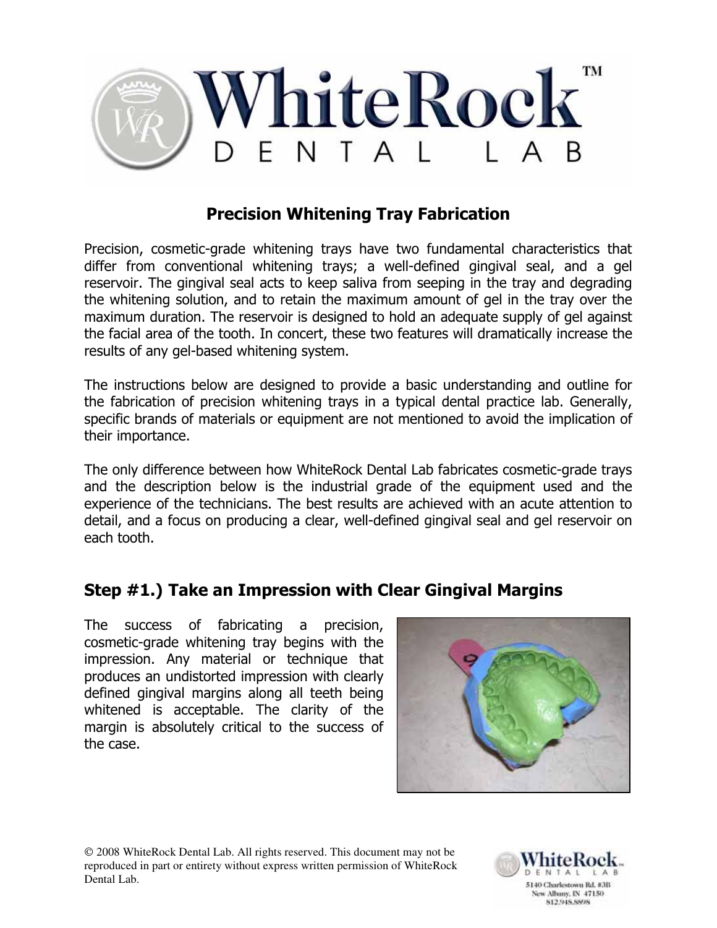

#### Precision Whitening Tray Fabrication

Precision, cosmetic-grade whitening trays have two fundamental characteristics that differ from conventional whitening trays; a well-defined gingival seal, and a gel reservoir. The gingival seal acts to keep saliva from seeping in the tray and degrading the whitening solution, and to retain the maximum amount of gel in the tray over the maximum duration. The reservoir is designed to hold an adequate supply of gel against the facial area of the tooth. In concert, these two features will dramatically increase the results of any gel-based whitening system.

The instructions below are designed to provide a basic understanding and outline for the fabrication of precision whitening travs in a typical dental practice lab. Generally, specific brands of materials or equipment are not mentioned to avoid the implication of their importance.

The only difference between how WhiteRock Dental Lab fabricates cosmetic-grade trays and the description below is the industrial grade of the equipment used and the experience of the technicians. The best results are achieved with an acute attention to detail, and a focus on producing a clear, well-defined gingival seal and gel reservoir on each tooth.

#### Step  $#1.$ ) Take an Impression with Clear Gingival Margins

The success of fabricating a precision, cosmetic-grade whitening tray begins with the impression. Any material or technique that produces an undistorted impression with clearly defined gingival margins along all teeth being whitened is acceptable. The clarity of the margin is absolutely critical to the success of the case.



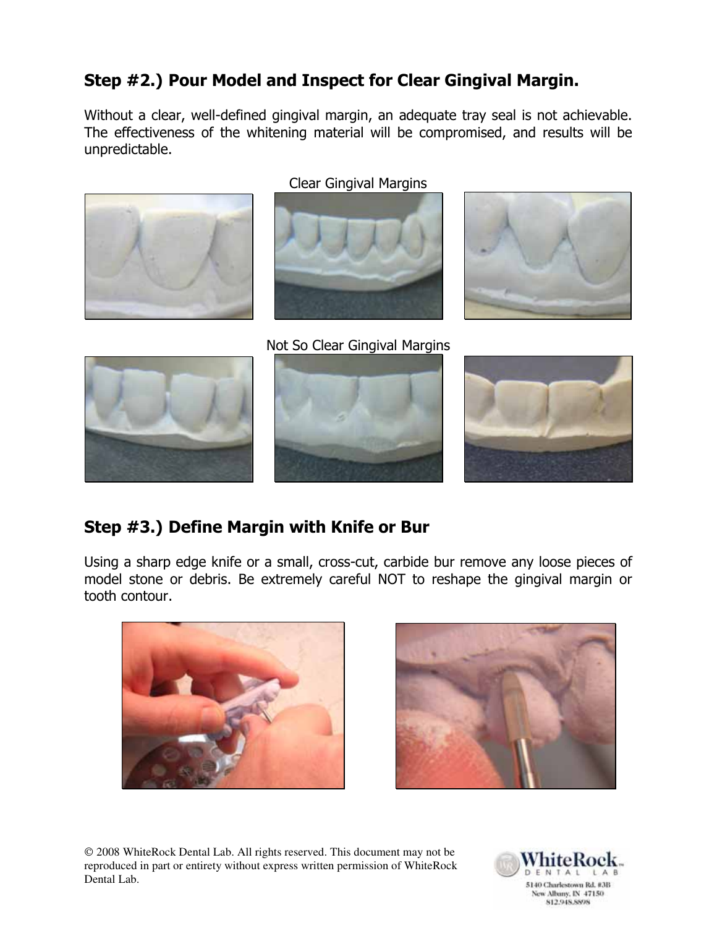## Step #2.) Pour Model and Inspect for Clear Gingival Margin.

Without a clear, well-defined gingival margin, an adequate tray seal is not achievable. The effectiveness of the whitening material will be compromised, and results will be unpredictable.



Clear Gingival Margins



Not So Clear Gingival Margins









### Step #3.) Define Margin with Knife or Bur

Using a sharp edge knife or a small, cross-cut, carbide bur remove any loose pieces of model stone or debris. Be extremely careful NOT to reshape the gingival margin or tooth contour.





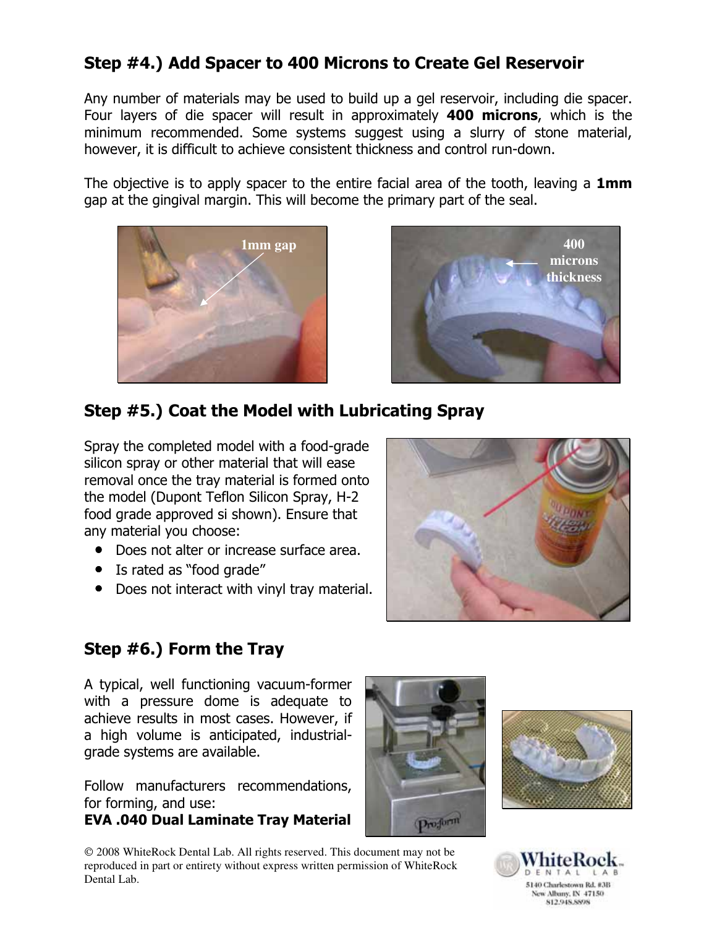## Step #4.) Add Spacer to 400 Microns to Create Gel Reservoir

Any number of materials may be used to build up a gel reservoir, including die spacer. Four layers of die spacer will result in approximately **400 microns**, which is the minimum recommended. Some systems suggest using a slurry of stone material, however, it is difficult to achieve consistent thickness and control run-down.

The objective is to apply spacer to the entire facial area of the tooth, leaving a  $1mm$ gap at the gingival margin. This will become the primary part of the seal.





## Step #5.) Coat the Model with Lubricating Spray

Spray the completed model with a food-grade silicon spray or other material that will ease removal once the tray material is formed onto the model (Dupont Teflon Silicon Spray, H-2 food grade approved si shown). Ensure that any material you choose:

- Does not alter or increase surface area.
- Is rated as "food grade"
- Does not interact with vinyl tray material.



### Step  $#6.$ ) Form the Tray

A typical, well functioning vacuum-former with a pressure dome is adequate to achieve results in most cases. However, if a high volume is anticipated, industrialgrade systems are available.

Follow manufacturers recommendations, for forming, and use: EVA .040 Dual Laminate Tray Material





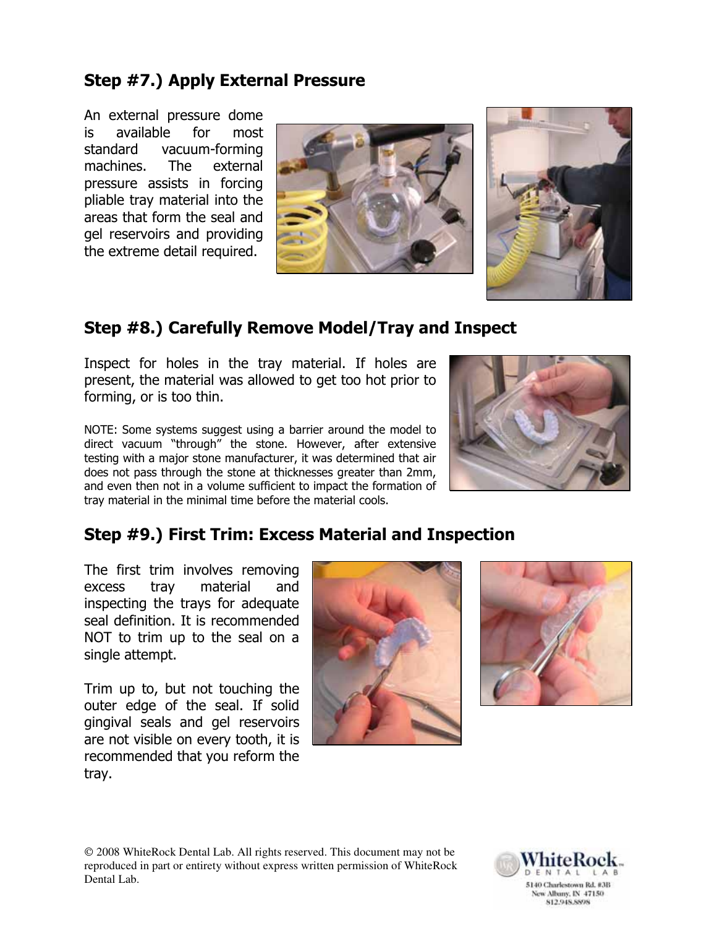## Step #7.) Apply External Pressure

An external pressure dome is available for most standard vacuum-forming machines. The external pressure assists in forcing pliable tray material into the areas that form the seal and gel reservoirs and providing the extreme detail required.





## Step #8.) Carefully Remove Model/Tray and Inspect

Inspect for holes in the tray material. If holes are present, the material was allowed to get too hot prior to forming, or is too thin.

NOTE: Some systems suggest using a barrier around the model to direct vacuum "through" the stone. However, after extensive testing with a major stone manufacturer, it was determined that air does not pass through the stone at thicknesses greater than 2mm, and even then not in a volume sufficient to impact the formation of tray material in the minimal time before the material cools.



### Step #9.) First Trim: Excess Material and Inspection

The first trim involves removing excess tray material and inspecting the trays for adequate seal definition. It is recommended NOT to trim up to the seal on a single attempt.

Trim up to, but not touching the outer edge of the seal. If solid gingival seals and gel reservoirs are not visible on every tooth, it is recommended that you reform the tray.





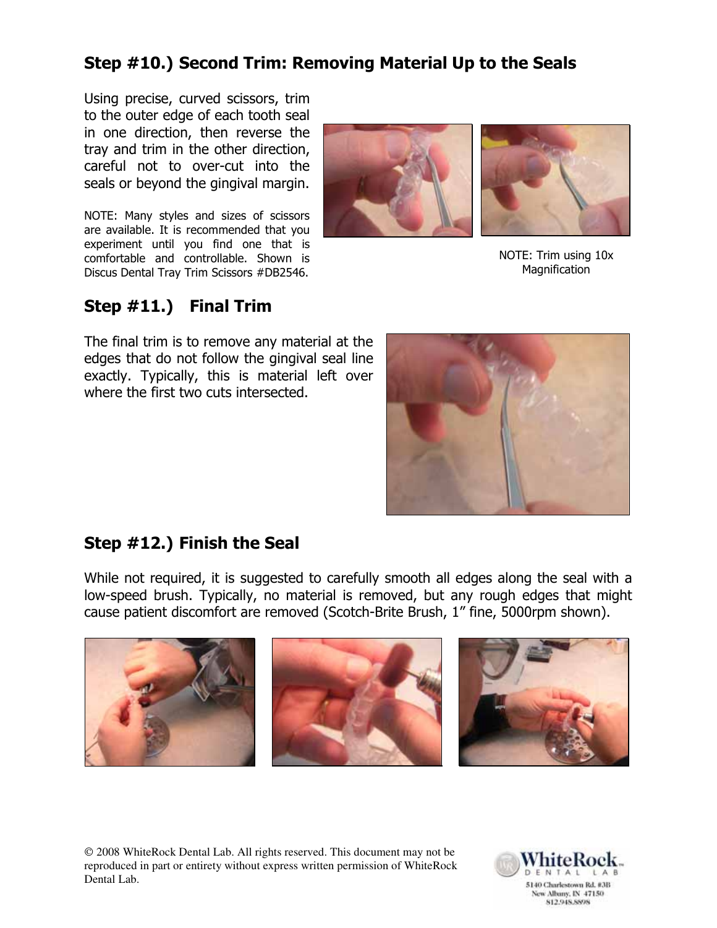## Step #10.) Second Trim: Removing Material Up to the Seals

Using precise, curved scissors, trim to the outer edge of each tooth seal in one direction, then reverse the tray and trim in the other direction, careful not to over-cut into the seals or beyond the gingival margin.

NOTE: Many styles and sizes of scissors are available. It is recommended that you experiment until you find one that is comfortable and controllable. Shown is Discus Dental Tray Trim Scissors #DB2546.



NOTE: Trim using 10x Magnification

### Step  $#11$ .) Final Trim

The final trim is to remove any material at the edges that do not follow the gingival seal line exactly. Typically, this is material left over where the first two cuts intersected.



### Step #12.) Finish the Seal

While not required, it is suggested to carefully smooth all edges along the seal with a low-speed brush. Typically, no material is removed, but any rough edges that might cause patient discomfort are removed (Scotch-Brite Brush, 1" fine, 5000rpm shown).